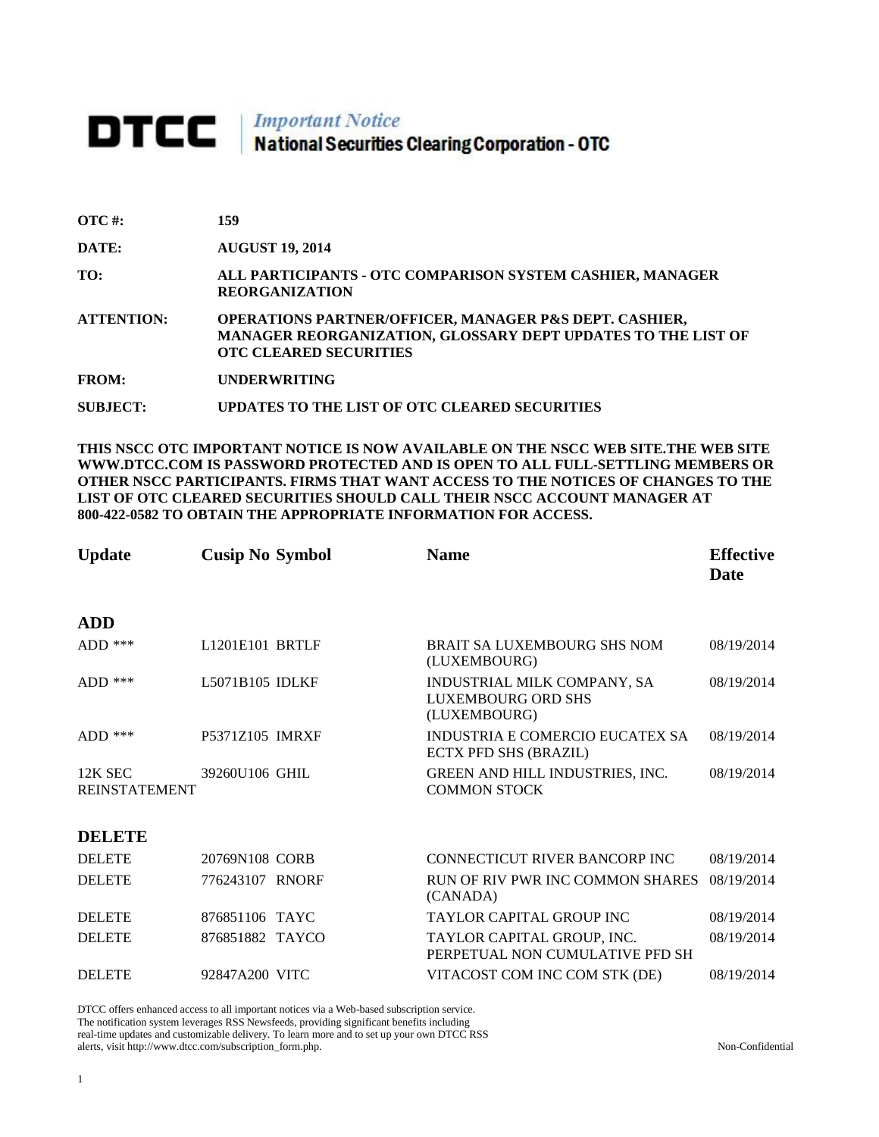# **DTCC** National Securities Clearing Corporation - OTC

| <b>OTC</b> #:     | 159                                                                                                                                                                |
|-------------------|--------------------------------------------------------------------------------------------------------------------------------------------------------------------|
| <b>DATE:</b>      | <b>AUGUST 19, 2014</b>                                                                                                                                             |
| TO:               | ALL PARTICIPANTS - OTC COMPARISON SYSTEM CASHIER, MANAGER<br><b>REORGANIZATION</b>                                                                                 |
| <b>ATTENTION:</b> | <b>OPERATIONS PARTNER/OFFICER, MANAGER P&amp;S DEPT. CASHIER,</b><br>MANAGER REORGANIZATION, GLOSSARY DEPT UPDATES TO THE LIST OF<br><b>OTC CLEARED SECURITIES</b> |
| <b>FROM:</b>      | <b>UNDERWRITING</b>                                                                                                                                                |

**SUBJECT: UPDATES TO THE LIST OF OTC CLEARED SECURITIES**

**THIS NSCC OTC IMPORTANT NOTICE IS NOW AVAILABLE ON THE NSCC WEB SITE.THE WEB SITE WWW.DTCC.COM IS PASSWORD PROTECTED AND IS OPEN TO ALL FULL-SETTLING MEMBERS OR OTHER NSCC PARTICIPANTS. FIRMS THAT WANT ACCESS TO THE NOTICES OF CHANGES TO THE LIST OF OTC CLEARED SECURITIES SHOULD CALL THEIR NSCC ACCOUNT MANAGER AT 800-422-0582 TO OBTAIN THE APPROPRIATE INFORMATION FOR ACCESS.** 

| <b>Update</b>                   | <b>Cusip No Symbol</b>                   | <b>Name</b>                                                       | <b>Effective</b><br><b>Date</b> |
|---------------------------------|------------------------------------------|-------------------------------------------------------------------|---------------------------------|
| <b>ADD</b>                      |                                          |                                                                   |                                 |
| $ADD$ ***                       | L <sub>1201</sub> E <sub>101</sub> BRTLF | <b>BRAIT SA LUXEMBOURG SHS NOM</b><br>(LUXEMBOURG)                | 08/19/2014                      |
| $ADD$ ***                       | L5071B105 IDLKF                          | INDUSTRIAL MILK COMPANY, SA<br>LUXEMBOURG ORD SHS<br>(LUXEMBOURG) | 08/19/2014                      |
| ADD ***                         | P5371Z105 IMRXF                          | INDUSTRIA E COMERCIO EUCATEX SA<br><b>ECTX PFD SHS (BRAZIL)</b>   | 08/19/2014                      |
| 12K SEC<br><b>REINSTATEMENT</b> | 39260U106 GHIL                           | GREEN AND HILL INDUSTRIES, INC.<br><b>COMMON STOCK</b>            | 08/19/2014                      |
| <b>DELETE</b>                   |                                          |                                                                   |                                 |
| <b>DELETE</b>                   | 20769N108 CORB                           | CONNECTICUT RIVER BANCORP INC                                     | 08/19/2014                      |
| <b>DELETE</b>                   | 776243107 RNORF                          | RUN OF RIV PWR INC COMMON SHARES<br>(CANADA)                      | 08/19/2014                      |
| <b>DELETE</b>                   | 876851106 TAYC                           | <b>TAYLOR CAPITAL GROUP INC</b>                                   | 08/19/2014                      |
| <b>DELETE</b>                   | 876851882 TAYCO                          | TAYLOR CAPITAL GROUP, INC.<br>PERPETUAL NON CUMULATIVE PFD SH     | 08/19/2014                      |
| <b>DELETE</b>                   | 92847A200 VITC                           | VITACOST COM INC COM STK (DE)                                     | 08/19/2014                      |

DTCC offers enhanced access to all important notices via a Web-based subscription service. The notification system leverages RSS Newsfeeds, providing significant benefits including real-time updates and customizable delivery. To learn more and to set up your own DTCC RSS alerts, visit http://www.dtcc.com/subscription\_form.php. Non-Confidential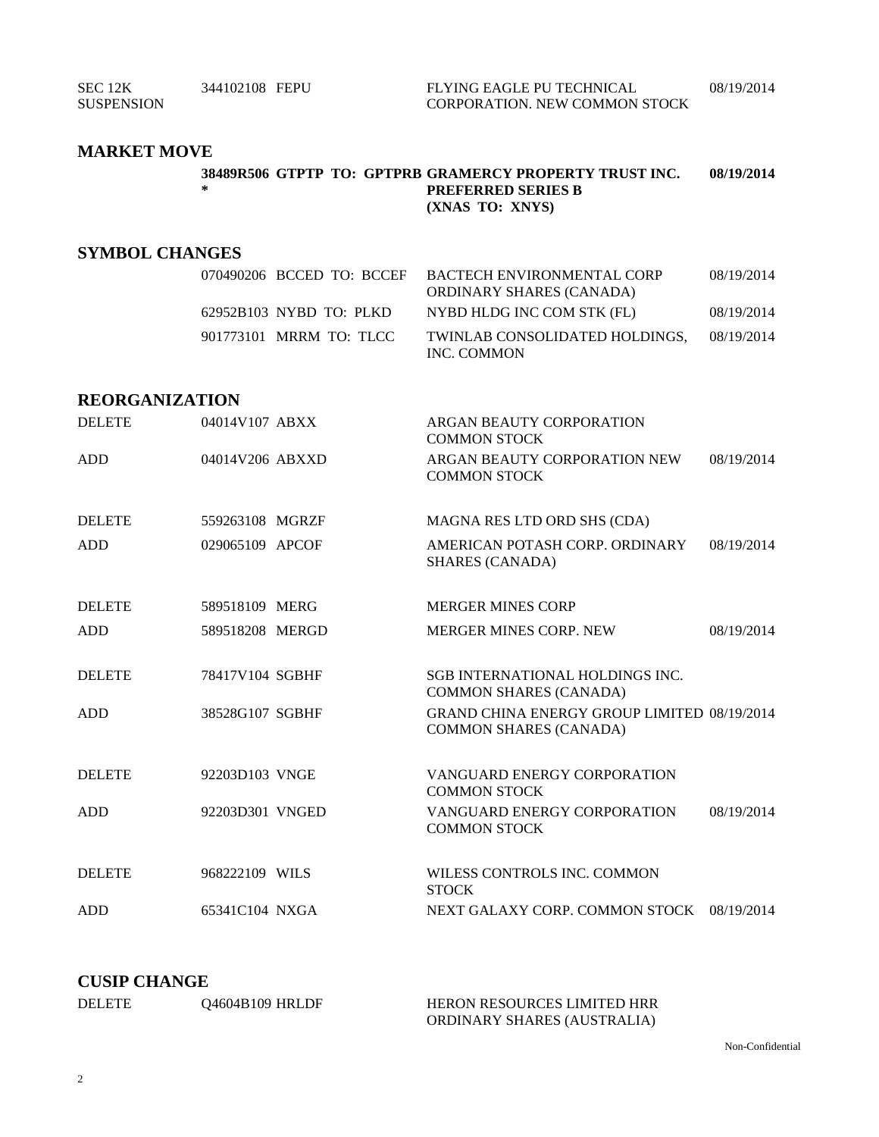SEC 12K SUSPENSION 344102108 FEPU FLYING EAGLE PU TECHNICAL CORPORATION. NEW COMMON STOCK 08/19/2014

# **MARKET MOVE**

|   | 38489R506 GTPTP TO: GPTPRB GRAMERCY PROPERTY TRUST INC. | 08/19/2014 |
|---|---------------------------------------------------------|------------|
| * | <b>PREFERRED SERIES B</b>                               |            |
|   | (XNAS TO: XNYS)                                         |            |

# **SYMBOL CHANGES**

|                         | 070490206 BCCED TO: BCCEF BACTECH ENVIRONMENTAL CORP<br>ORDINARY SHARES (CANADA) | 08/19/2014 |
|-------------------------|----------------------------------------------------------------------------------|------------|
| 62952B103 NYBD TO: PLKD | NYBD HLDG INC COM STK (FL)                                                       | 08/19/2014 |
| 901773101 MRRM TO: TLCC | TWINLAB CONSOLIDATED HOLDINGS.<br>INC. COMMON                                    | 08/19/2014 |

### **REORGANIZATION**

| <b>DELETE</b> | 04014V107 ABXX  | ARGAN BEAUTY CORPORATION<br><b>COMMON STOCK</b>                                     |            |
|---------------|-----------------|-------------------------------------------------------------------------------------|------------|
| <b>ADD</b>    | 04014V206 ABXXD | ARGAN BEAUTY CORPORATION NEW<br><b>COMMON STOCK</b>                                 | 08/19/2014 |
| <b>DELETE</b> | 559263108 MGRZF | MAGNA RES LTD ORD SHS (CDA)                                                         |            |
| <b>ADD</b>    | 029065109 APCOF | AMERICAN POTASH CORP. ORDINARY<br><b>SHARES (CANADA)</b>                            | 08/19/2014 |
| <b>DELETE</b> | 589518109 MERG  | <b>MERGER MINES CORP</b>                                                            |            |
| <b>ADD</b>    | 589518208 MERGD | <b>MERGER MINES CORP. NEW</b>                                                       | 08/19/2014 |
| <b>DELETE</b> | 78417V104 SGBHF | <b>SGB INTERNATIONAL HOLDINGS INC.</b><br><b>COMMON SHARES (CANADA)</b>             |            |
| <b>ADD</b>    | 38528G107 SGBHF | <b>GRAND CHINA ENERGY GROUP LIMITED 08/19/2014</b><br><b>COMMON SHARES (CANADA)</b> |            |
| <b>DELETE</b> | 92203D103 VNGE  | VANGUARD ENERGY CORPORATION<br><b>COMMON STOCK</b>                                  |            |
| <b>ADD</b>    | 92203D301 VNGED | VANGUARD ENERGY CORPORATION<br><b>COMMON STOCK</b>                                  | 08/19/2014 |
| <b>DELETE</b> | 968222109 WILS  | WILESS CONTROLS INC. COMMON<br><b>STOCK</b>                                         |            |
| <b>ADD</b>    | 65341C104 NXGA  | NEXT GALAXY CORP. COMMON STOCK 08/19/2014                                           |            |

# **CUSIP CHANGE**

| <b>DELETE</b> | 04604B109 HRLDF | <b>HERON RESOURCES LIMITED HRR</b> |
|---------------|-----------------|------------------------------------|
|               |                 | ORDINARY SHARES (AUSTRALIA)        |

Non-Confidential